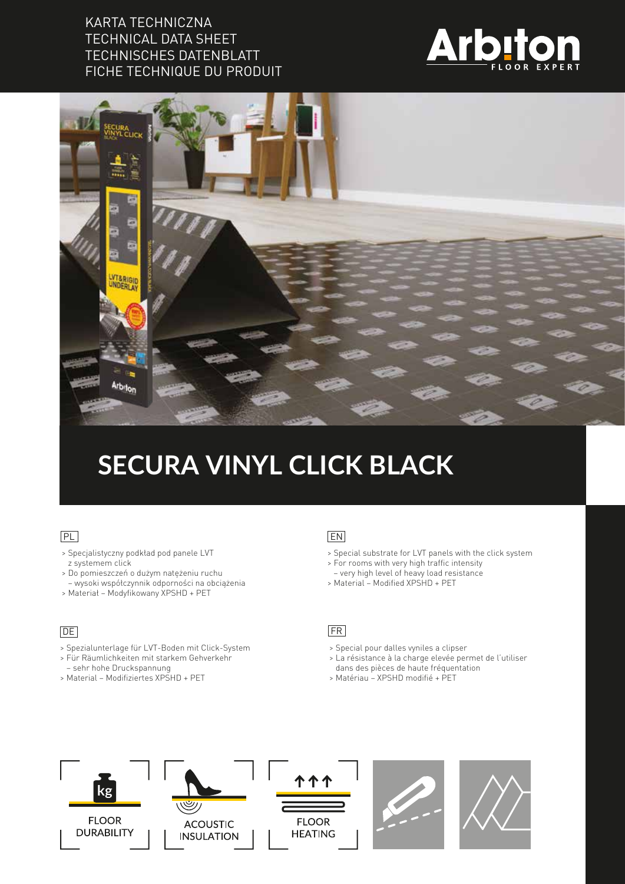### KARTA TECHNICZNA TECHNICAL DATA SHEET TECHNISCHES DATENBLATT FICHE TECHNIQUE DU PRODUIT





# **SECURA VINYL CLICK BLACK**

#### PL

- > Specjalistyczny podkład pod panele LVT z systemem click
- > Do pomieszczeń o dużym natężeniu ruchu – wysoki współczynnik odporności na obciążenia
- > Materiał Modyfikowany XPSHD + PET

#### **DE**

- > Spezialunterlage für LVT-Boden mit Click-System
- > Für Räumlichkeiten mit starkem Gehverkehr
- sehr hohe Druckspannung
- > Material Modifiziertes XPSHD + PET

#### EN

- > Special substrate for LVT panels with the click system
- > For rooms with very high traffic intensity
	- very high level of heavy load resistance
	- > Material Modified XPSHD + PET

#### FR

- > Special pour dalles vyniles a clipser
- > La résistance à la charge elevée permet de l'utiliser
- dans des pièces de haute fréquentation
- > Matériau XPSHD modifié + PET